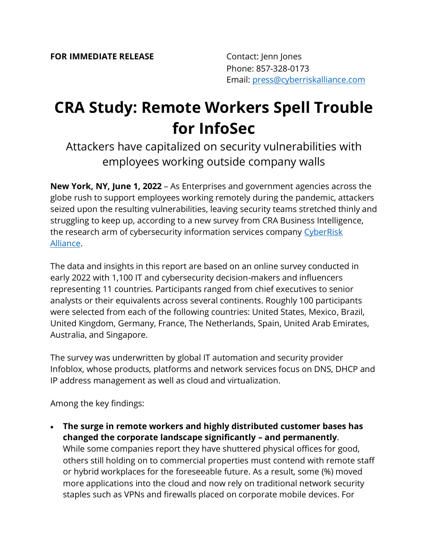## **CRA Study: Remote Workers Spell Trouble for InfoSec**

Attackers have capitalized on security vulnerabilities with employees working outside company walls

**New York, NY, June 1, 2022** – As Enterprises and government agencies across the globe rush to support employees working remotely during the pandemic, attackers seized upon the resulting vulnerabilities, leaving security teams stretched thinly and struggling to keep up, according to a new survey from CRA Business Intelligence, the research arm of cybersecurity information services company CyberRisk [Alliance.](https://www.cyberriskalliance.com/)

The data and insights in this report are based on an online survey conducted in early 2022 with 1,100 IT and cybersecurity decision-makers and influencers representing 11 countries. Participants ranged from chief executives to senior analysts or their equivalents across several continents. Roughly 100 participants were selected from each of the following countries: United States, Mexico, Brazil, United Kingdom, Germany, France, The Netherlands, Spain, United Arab Emirates, Australia, and Singapore.

The survey was underwritten by global IT automation and security provider Infoblox, whose products, platforms and network services focus on DNS, DHCP and IP address management as well as cloud and virtualization.

Among the key findings:

• **The surge in remote workers and highly distributed customer bases has changed the corporate landscape significantly – and permanently**. While some companies report they have shuttered physical offices for good, others still holding on to commercial properties must contend with remote staff or hybrid workplaces for the foreseeable future. As a result, some (%) moved more applications into the cloud and now rely on traditional network security staples such as VPNs and firewalls placed on corporate mobile devices. For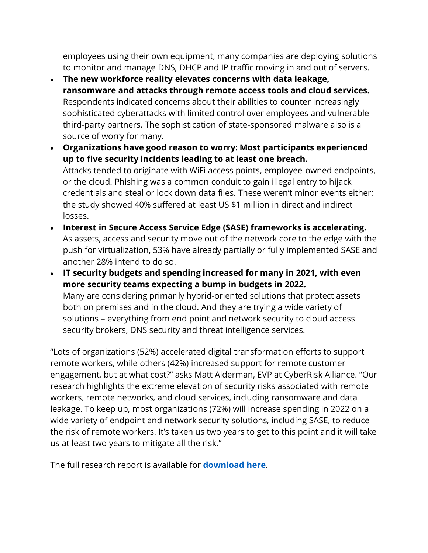employees using their own equipment, many companies are deploying solutions to monitor and manage DNS, DHCP and IP traffic moving in and out of servers.

- **The new workforce reality elevates concerns with data leakage, ransomware and attacks through remote access tools and cloud services.** Respondents indicated concerns about their abilities to counter increasingly sophisticated cyberattacks with limited control over employees and vulnerable third-party partners. The sophistication of state-sponsored malware also is a source of worry for many.
- **Organizations have good reason to worry: Most participants experienced up to five security incidents leading to at least one breach.**  Attacks tended to originate with WiFi access points, employee-owned endpoints, or the cloud. Phishing was a common conduit to gain illegal entry to hijack credentials and steal or lock down data files. These weren't minor events either; the study showed 40% suffered at least US \$1 million in direct and indirect losses.
- **Interest in Secure Access Service Edge (SASE) frameworks is accelerating.**  As assets, access and security move out of the network core to the edge with the push for virtualization, 53% have already partially or fully implemented SASE and another 28% intend to do so.
- **IT security budgets and spending increased for many in 2021, with even more security teams expecting a bump in budgets in 2022.** Many are considering primarily hybrid-oriented solutions that protect assets both on premises and in the cloud. And they are trying a wide variety of solutions – everything from end point and network security to cloud access security brokers, DNS security and threat intelligence services.

"Lots of organizations (52%) accelerated digital transformation efforts to support remote workers, while others (42%) increased support for remote customer engagement, but at what cost?" asks Matt Alderman, EVP at CyberRisk Alliance. "Our research highlights the extreme elevation of security risks associated with remote workers, remote networks, and cloud services, including ransomware and data leakage. To keep up, most organizations (72%) will increase spending in 2022 on a wide variety of endpoint and network security solutions, including SASE, to reduce the risk of remote workers. It's taken us two years to get to this point and it will take us at least two years to mitigate all the risk."

The full research report is available for **[download here](https://www.scmagazine.com/whitepaper/cra-study-remote-workers-spell-trouble-for-infosec)**.